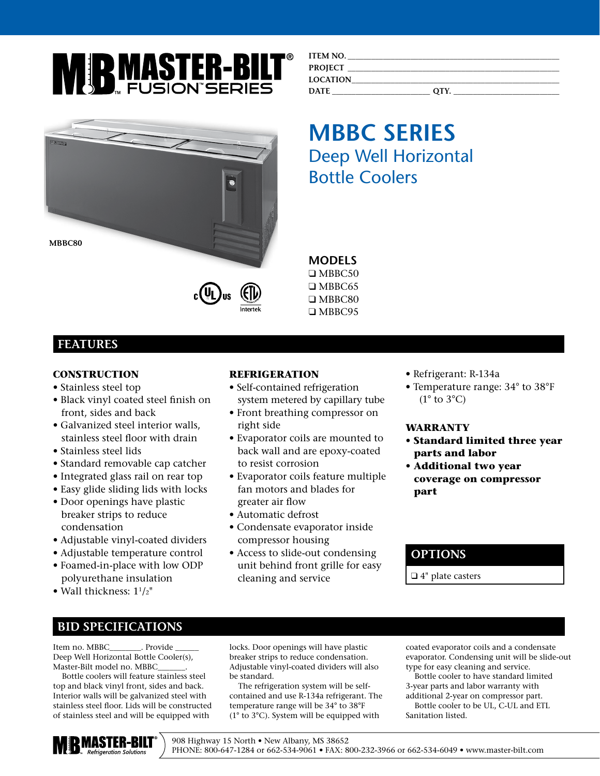

| <b>BEATING</b> |   |
|----------------|---|
|                |   |
| MBBC80         |   |
|                | π |

# c(YL)us

#### **ITEM NO. PROJECT \_\_\_\_\_\_\_\_\_\_\_\_\_\_\_\_\_\_\_\_\_\_\_\_\_\_\_\_\_\_\_\_\_\_\_\_\_\_\_\_\_\_\_\_\_\_\_\_\_\_\_\_\_\_ LOCATION\_\_\_\_\_\_\_\_\_\_\_\_\_\_\_\_\_\_\_\_\_\_\_\_\_\_\_\_\_\_\_\_\_\_\_\_\_\_\_\_\_\_\_\_\_\_\_\_\_\_\_\_\_ DATE \_\_\_\_\_\_\_\_\_\_\_\_\_\_\_\_\_\_\_\_\_\_\_\_\_ QTY. \_\_\_\_\_\_\_\_\_\_\_\_\_\_\_\_\_\_\_\_\_\_\_\_\_\_\_**

# **MBBC SERIES** Deep Well Horizontal Bottle Coolers

#### ❑ MBBC50 ❑ MBBC65

**MODELS** 

❑ MBBC80 ❑ MBBC95

### **FEATURES**

#### **CONSTRUCTION***.*

- Stainless steel top
- Black vinyl coated steel finish on front, sides and back
- Galvanized steel interior walls, stainless steel floor with drain
- Stainless steel lids
- Standard removable cap catcher
- Integrated glass rail on rear top
- Easy glide sliding lids with locks
- Door openings have plastic breaker strips to reduce condensation
- Adjustable vinyl-coated dividers
- Adjustable temperature control
- Foamed-in-place with low ODP polyurethane insulation
- Wall thickness: 11/2"

#### **REFRIGERATION**

- Self-contained refrigeration system metered by capillary tube
- Front breathing compressor on right side
- Evaporator coils are mounted to back wall and are epoxy-coated to resist corrosion
- Evaporator coils feature multiple fan motors and blades for greater air flow
- Automatic defrost
- Condensate evaporator inside compressor housing
- Access to slide-out condensing unit behind front grille for easy cleaning and service
- Refrigerant: R-134a
- Temperature range: 34° to 38°F  $(1^{\circ}$  to  $3^{\circ}$ C)

#### **WARRANTY**

- **Standard limited three year parts and labor**
- **Additional two year coverage on compressor part**

#### **OPTIONS**

❑ 4" plate casters

### **BID SPECIFICATIONS**

Item no. MBBC \_\_\_\_\_\_\_\_. Provide Deep Well Horizontal Bottle Cooler(s), Master-Bilt model no. MBBC\_\_\_\_\_\_\_.

Bottle coolers will feature stainless steel top and black vinyl front, sides and back. Interior walls will be galvanized steel with stainless steel floor. Lids will be constructed of stainless steel and will be equipped with

locks. Door openings will have plastic breaker strips to reduce condensation. Adjustable vinyl-coated dividers will also be standard.

The refrigeration system will be selfcontained and use R-134a refrigerant. The temperature range will be 34° to 38°F (1° to 3°C). System will be equipped with

coated evaporator coils and a condensate evaporator. Condensing unit will be slide-out type for easy cleaning and service.

Bottle cooler to have standard limited 3-year parts and labor warranty with additional 2-year on compressor part.

Bottle cooler to be UL, C-UL and ETL Sanitation listed.



908 Highway 15 North • New Albany, MS 38652 PHONE: 800-647-1284 or 662-534-9061 • FAX: 800-232-3966 or 662-534-6049 • www.master-bilt.com